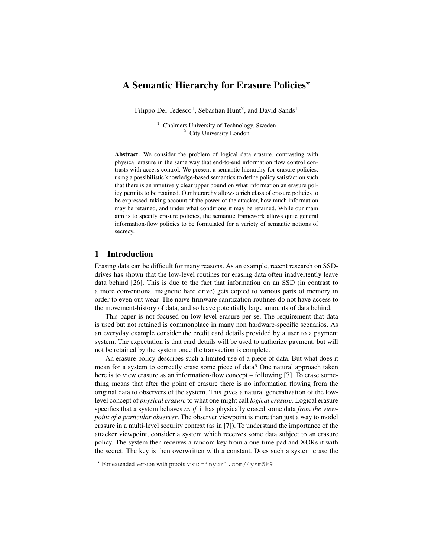# A Semantic Hierarchy for Erasure Policies<sup>\*</sup>

Filippo Del Tedesco<sup>1</sup>, Sebastian Hunt<sup>2</sup>, and David Sands<sup>1</sup>

<sup>1</sup> Chalmers University of Technology, Sweden <sup>2</sup> City University London

Abstract. We consider the problem of logical data erasure, contrasting with physical erasure in the same way that end-to-end information flow control contrasts with access control. We present a semantic hierarchy for erasure policies, using a possibilistic knowledge-based semantics to define policy satisfaction such that there is an intuitively clear upper bound on what information an erasure policy permits to be retained. Our hierarchy allows a rich class of erasure policies to be expressed, taking account of the power of the attacker, how much information may be retained, and under what conditions it may be retained. While our main aim is to specify erasure policies, the semantic framework allows quite general information-flow policies to be formulated for a variety of semantic notions of secrecy.

## 1 Introduction

Erasing data can be difficult for many reasons. As an example, recent research on SSDdrives has shown that the low-level routines for erasing data often inadvertently leave data behind [26]. This is due to the fact that information on an SSD (in contrast to a more conventional magnetic hard drive) gets copied to various parts of memory in order to even out wear. The naive firmware sanitization routines do not have access to the movement-history of data, and so leave potentially large amounts of data behind.

This paper is not focused on low-level erasure per se. The requirement that data is used but not retained is commonplace in many non hardware-specific scenarios. As an everyday example consider the credit card details provided by a user to a payment system. The expectation is that card details will be used to authorize payment, but will not be retained by the system once the transaction is complete.

An erasure policy describes such a limited use of a piece of data. But what does it mean for a system to correctly erase some piece of data? One natural approach taken here is to view erasure as an information-flow concept – following [7]. To erase something means that after the point of erasure there is no information flowing from the original data to observers of the system. This gives a natural generalization of the lowlevel concept of *physical erasure* to what one might call *logical erasure*. Logical erasure specifies that a system behaves *as if* it has physically erased some data *from the viewpoint of a particular observer*. The observer viewpoint is more than just a way to model erasure in a multi-level security context (as in [7]). To understand the importance of the attacker viewpoint, consider a system which receives some data subject to an erasure policy. The system then receives a random key from a one-time pad and XORs it with the secret. The key is then overwritten with a constant. Does such a system erase the

<sup>?</sup> For extended version with proofs visit: tinyurl.com/4ysm5k9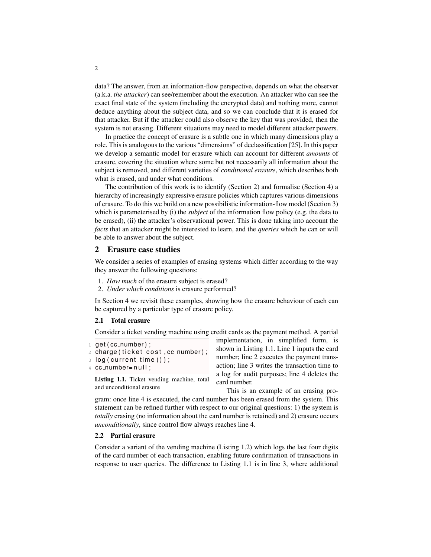data? The answer, from an information-flow perspective, depends on what the observer (a.k.a. *the attacker*) can see/remember about the execution. An attacker who can see the exact final state of the system (including the encrypted data) and nothing more, cannot deduce anything about the subject data, and so we can conclude that it is erased for that attacker. But if the attacker could also observe the key that was provided, then the system is not erasing. Different situations may need to model different attacker powers.

In practice the concept of erasure is a subtle one in which many dimensions play a role. This is analogous to the various "dimensions" of declassification [25]. In this paper we develop a semantic model for erasure which can account for different *amounts* of erasure, covering the situation where some but not necessarily all information about the subject is removed, and different varieties of *conditional erasure*, which describes both what is erased, and under what conditions.

The contribution of this work is to identify (Section 2) and formalise (Section 4) a hierarchy of increasingly expressive erasure policies which captures various dimensions of erasure. To do this we build on a new possibilistic information-flow model (Section 3) which is parameterised by (i) the *subject* of the information flow policy (e.g. the data to be erased), (ii) the attacker's observational power. This is done taking into account the *facts* that an attacker might be interested to learn, and the *queries* which he can or will be able to answer about the subject.

### 2 Erasure case studies

We consider a series of examples of erasing systems which differ according to the way they answer the following questions:

- 1. *How much* of the erasure subject is erased?
- 2. *Under which conditions* is erasure performed?

In Section 4 we revisit these examples, showing how the erasure behaviour of each can be captured by a particular type of erasure policy.

#### 2.1 Total erasure

Consider a ticket vending machine using credit cards as the payment method. A partial

```
1 get (cc_number);
```

```
2 charge (ticket_cost, cc_number);
```
 $3$   $log(current_time()$  ;

```
4 cc_number= null;
```
Listing 1.1. Ticket vending machine, total and unconditional erasure

implementation, in simplified form, is shown in Listing 1.1. Line 1 inputs the card number; line 2 executes the payment transaction; line 3 writes the transaction time to a log for audit purposes; line 4 deletes the card number.

This is an example of an erasing program: once line 4 is executed, the card number has been erased from the system. This statement can be refined further with respect to our original questions: 1) the system is *totally* erasing (no information about the card number is retained) and 2) erasure occurs *unconditionally*, since control flow always reaches line 4.

### 2.2 Partial erasure

Consider a variant of the vending machine (Listing 1.2) which logs the last four digits of the card number of each transaction, enabling future confirmation of transactions in response to user queries. The difference to Listing 1.1 is in line 3, where additional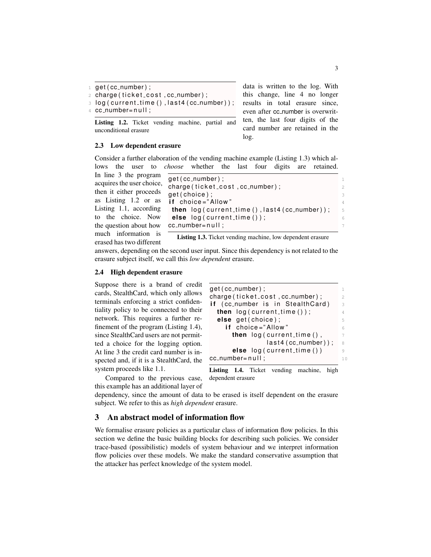1 get (cc\_number);

```
2 charge (ticket_cost, cc_number);
```

```
3 log (current_time () , last4 (cc_number) );
```

```
4 cc_number= null;
```
Listing 1.2. Ticket vending machine, partial and unconditional erasure

### 2.3 Low dependent erasure

this change, line 4 no longer results in total erasure since, even after cc number is overwritten, the last four digits of the card number are retained in the log.

data is written to the log. With

Consider a further elaboration of the vending machine example (Listing 1.3) which allows the user to *choose* whether the last four digits are retained.

In line 3 the program acquires the user choice, then it either proceeds as Listing 1.2 or as Listing 1.1, according to the choice. Now the question about how much information is erased has two different

 $cc_{\text{-}}$ number= n u l l ;  $\frac{7}{2}$ Listing 1.3. Ticket vending machine, low dependent erasure

qet ( cc\_number ) ; 1  $change ( ticket\_cost, cc_number)$ ;  $22$ aet ( choice ) ; 33 **if** choice = "Allow "  $4$ **then**  $log(current_time()$ ,  $last4(cc_number))$ ;  $=$ **else** log(current\_time());

answers, depending on the second user input. Since this dependency is not related to the erasure subject itself, we call this *low dependent* erasure.

### 2.4 High dependent erasure

Suppose there is a brand of credit cards, StealthCard, which only allows terminals enforcing a strict confidentiality policy to be connected to their network. This requires a further refinement of the program (Listing 1.4), since StealthCard users are not permitted a choice for the logging option. At line 3 the credit card number is inspected and, if it is a StealthCard, the system proceeds like 1.1.

Compared to the previous case, this example has an additional layer of

```
get ( cc_number ) ; 1
charge ( ticket\_cost, cc_number) ; 22if (cc_number is in StealthCard) 3
 then log ( current time ( ) ) ; 4else get ( choice ) ; 5
   if choice="Allow"
     then log ( current time ( ), \frac{7}{2}last4 (cc_number) ) ; 8
     else log(current_time()) 9
cc_{\text{-}}number= n u l l ; 10
```
Listing 1.4. Ticket vending machine, high dependent erasure

dependency, since the amount of data to be erased is itself dependent on the erasure subject. We refer to this as *high dependent* erasure.

## 3 An abstract model of information flow

We formalise erasure policies as a particular class of information flow policies. In this section we define the basic building blocks for describing such policies. We consider trace-based (possibilistic) models of system behaviour and we interpret information flow policies over these models. We make the standard conservative assumption that the attacker has perfect knowledge of the system model.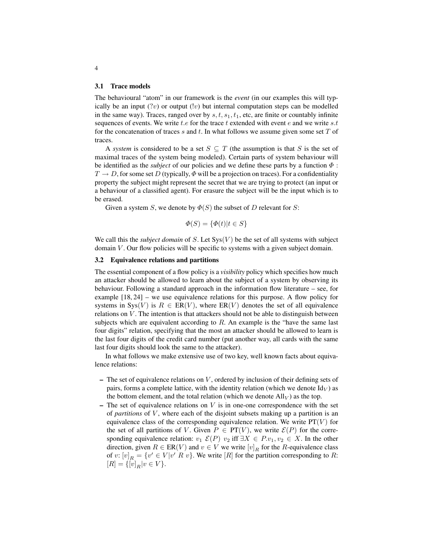### 3.1 Trace models

The behavioural "atom" in our framework is the *event* (in our examples this will typically be an input  $(2v)$  or output  $(2v)$  but internal computation steps can be modelled in the same way). Traces, ranged over by  $s, t, s_1, t_1$ , etc, are finite or countably infinite sequences of events. We write  $t.e$  for the trace  $t$  extended with event  $e$  and we write  $s.t$ for the concatenation of traces  $s$  and  $t$ . In what follows we assume given some set  $T$  of traces.

A *system* is considered to be a set  $S \subseteq T$  (the assumption is that S is the set of maximal traces of the system being modeled). Certain parts of system behaviour will be identified as the *subject* of our policies and we define these parts by a function  $\Phi$ :  $T \to D$ , for some set D (typically,  $\Phi$  will be a projection on traces). For a confidentiality property the subject might represent the secret that we are trying to protect (an input or a behaviour of a classified agent). For erasure the subject will be the input which is to be erased.

Given a system S, we denote by  $\Phi(S)$  the subset of D relevant for S:

$$
\Phi(S) = \{\Phi(t)|t \in S\}
$$

We call this the *subject domain* of  $S$ . Let  $Sys(V)$  be the set of all systems with subject domain  $V$ . Our flow policies will be specific to systems with a given subject domain.

#### 3.2 Equivalence relations and partitions

The essential component of a flow policy is a *visibility* policy which specifies how much an attacker should be allowed to learn about the subject of a system by observing its behaviour. Following a standard approach in the information flow literature – see, for example [18, 24] – we use equivalence relations for this purpose. A flow policy for systems in Sys(V) is  $R \in ER(V)$ , where  $ER(V)$  denotes the set of all equivalence relations on  $V$ . The intention is that attackers should not be able to distinguish between subjects which are equivalent according to  $R$ . An example is the "have the same last four digits" relation, specifying that the most an attacker should be allowed to learn is the last four digits of the credit card number (put another way, all cards with the same last four digits should look the same to the attacker).

In what follows we make extensive use of two key, well known facts about equivalence relations:

- The set of equivalence relations on  $V$ , ordered by inclusion of their defining sets of pairs, forms a complete lattice, with the identity relation (which we denote  $Id_V$ ) as the bottom element, and the total relation (which we denote  $\text{All}_V$ ) as the top.
- $-$  The set of equivalence relations on V is in one-one correspondence with the set of *partitions* of V, where each of the disjoint subsets making up a partition is an equivalence class of the corresponding equivalence relation. We write  $PT(V)$  for the set of all partitions of V. Given  $P \in PT(V)$ , we write  $\mathcal{E}(P)$  for the corresponding equivalence relation:  $v_1 \mathcal{E}(P)$   $v_2$  iff  $\exists X \in P.v_1, v_2 \in X$ . In the other direction, given  $R \in ER(V)$  and  $v \in V$  we write  $[v]_R$  for the R-equivalence class of  $v: [v]_R = \{v' \in V | v' \mathbb{R} \mid v\}$ . We write  $[R]$  for the partition corresponding to R:  $[R] = {\tilde{v}|_{R}|v \in V}.$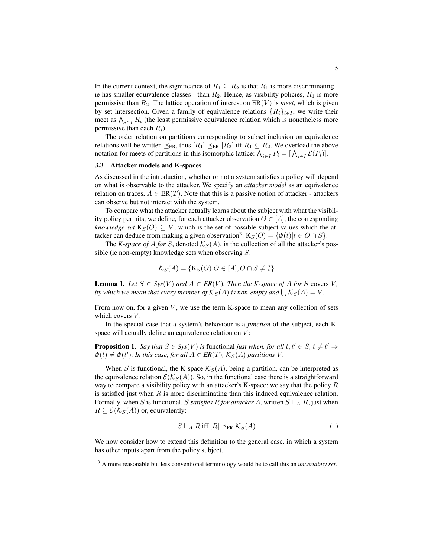In the current context, the significance of  $R_1 \subseteq R_2$  is that  $R_1$  is more discriminating ie has smaller equivalence classes - than  $R_2$ . Hence, as visibility policies,  $R_1$  is more permissive than  $R_2$ . The lattice operation of interest on  $ER(V)$  is *meet*, which is given by set intersection. Given a family of equivalence relations  $\{R_i\}_{i\in I}$ , we write their meet as  $\bigwedge_{i \in I} R_i$  (the least permissive equivalence relation which is nonetheless more permissive than each  $R_i$ ).

The order relation on partitions corresponding to subset inclusion on equivalence relations will be written  $\preceq_{ER}$ , thus  $[R_1] \preceq_{ER} [R_2]$  iff  $R_1 \subseteq R_2$ . We overload the above notation for meets of partitions in this isomorphic lattice:  $\bigwedge_{i \in I} P_i = [\bigwedge_{i \in I} \mathcal{E}(P_i)].$ 

#### 3.3 Attacker models and K-spaces

As discussed in the introduction, whether or not a system satisfies a policy will depend on what is observable to the attacker. We specify an *attacker model* as an equivalence relation on traces,  $A \in ER(T)$ . Note that this is a passive notion of attacker - attackers can observe but not interact with the system.

To compare what the attacker actually learns about the subject with what the visibility policy permits, we define, for each attacker observation  $O \in [A]$ , the corresponding *knowledge set*  $K_S(O) \subseteq V$ , which is the set of possible subject values which the attacker can deduce from making a given observation<sup>3</sup>:  $K_S(O) = \{ \Phi(t) | t \in O \cap S \}.$ 

The *K-space of A for* S, denoted  $\mathcal{K}_S(A)$ , is the collection of all the attacker's possible (ie non-empty) knowledge sets when observing  $S$ :

$$
\mathcal{K}_S(A) = \{ \mathbf{K}_S(O) | O \in [A], O \cap S \neq \emptyset \}
$$

**Lemma 1.** *Let*  $S \in Sys(V)$  *and*  $A \in ER(V)$ *. Then the K-space of A for* S covers V, by which we mean that every member of  $\mathcal{K}_{S}(A)$  is non-empty and  $\bigcup \mathcal{K}_{S}(A) = V$ .

From now on, for a given  $V$ , we use the term K-space to mean any collection of sets which covers  $V$ .

In the special case that a system's behaviour is a *function* of the subject, each Kspace will actually define an equivalence relation on  $V$ :

**Proposition 1.** *Say that*  $S \in Sys(V)$  *is* functional *just when, for all*  $t, t' \in S$ ,  $t \neq t' \Rightarrow$  $\Phi(t) \neq \Phi(t')$ . In this case, for all  $A \in ER(T)$ ,  $\mathcal{K}_S(A)$  partitions V.

When S is functional, the K-space  $\mathcal{K}_{S}(A)$ , being a partition, can be interpreted as the equivalence relation  $\mathcal{E}(\mathcal{K}_{S}(A))$ . So, in the functional case there is a straightforward way to compare a visibility policy with an attacker's K-space: we say that the policy  $R$ is satisfied just when  $R$  is more discriminating than this induced equivalence relation. Formally, when S is functional, S *satisfies* R for attacker A, written  $S \vdash_A R$ , just when  $R \subseteq \mathcal{E}(\mathcal{K}_S(A))$  or, equivalently:

$$
S \vdash_A R \text{ iff } [R] \preceq_{\text{ER}} \mathcal{K}_S(A) \tag{1}
$$

We now consider how to extend this definition to the general case, in which a system has other inputs apart from the policy subject.

<sup>3</sup> A more reasonable but less conventional terminology would be to call this an *uncertainty set*.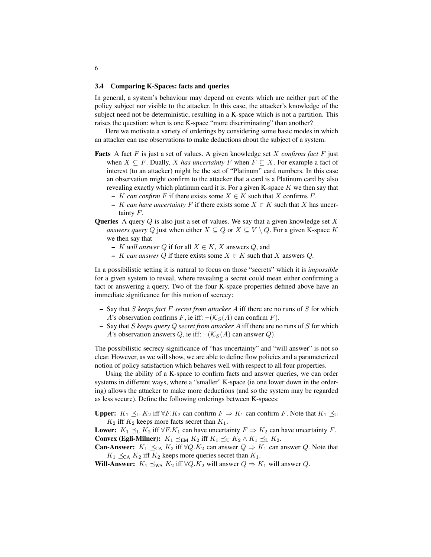### 3.4 Comparing K-Spaces: facts and queries

In general, a system's behaviour may depend on events which are neither part of the policy subject nor visible to the attacker. In this case, the attacker's knowledge of the subject need not be deterministic, resulting in a K-space which is not a partition. This raises the question: when is one K-space "more discriminating" than another?

Here we motivate a variety of orderings by considering some basic modes in which an attacker can use observations to make deductions about the subject of a system:

- Facts A fact F is just a set of values. A given knowledge set X *confirms fact* F just when  $X \subseteq F$ . Dually, X has uncertainty F when  $F \subseteq X$ . For example a fact of interest (to an attacker) might be the set of "Platinum" card numbers. In this case an observation might confirm to the attacker that a card is a Platinum card by also revealing exactly which platinum card it is. For a given K-space  $K$  we then say that
	- K *can confirm* F if there exists some  $X \in K$  such that X confirms F.
	- $-$  K *can have uncertainty* F if there exists some  $X \in K$  such that X has uncertainty F.
- Queries A query  $Q$  is also just a set of values. We say that a given knowledge set  $X$ *answers query* Q just when either  $X \subseteq Q$  or  $X \subseteq V \setminus Q$ . For a given K-space K we then say that
	- $− K$  *will answer*  $Q$  if for all  $X \in K$ ,  $X$  answers  $Q$ , and
	- *K can answer* Q if there exists some  $X \in K$  such that X answers Q.

In a possibilistic setting it is natural to focus on those "secrets" which it is *impossible* for a given system to reveal, where revealing a secret could mean either confirming a fact or answering a query. Two of the four K-space properties defined above have an immediate significance for this notion of secrecy:

- Say that S *keeps fact* F *secret from attacker* A iff there are no runs of S for which A's observation confirms F, ie iff:  $\neg(\mathcal{K}_S(A))$  can confirm F).
- Say that S *keeps query* Q *secret from attacker* A iff there are no runs of S for which A's observation answers Q, ie iff:  $\neg(\mathcal{K}_S(A))$  can answer Q).

The possibilistic secrecy significance of "has uncertainty" and "will answer" is not so clear. However, as we will show, we are able to define flow policies and a parameterized notion of policy satisfaction which behaves well with respect to all four properties.

Using the ability of a K-space to confirm facts and answer queries, we can order systems in different ways, where a "smaller" K-space (ie one lower down in the ordering) allows the attacker to make more deductions (and so the system may be regarded as less secure). Define the following orderings between K-spaces:

**Upper:**  $K_1 \preceq_U K_2$  iff  $\forall F.K_2$  can confirm  $F \Rightarrow K_1$  can confirm F. Note that  $K_1 \preceq_U$  $K_2$  iff  $K_2$  keeps more facts secret than  $K_1$ .

**Lower:**  $K_1 \preceq_L K_2$  iff  $\forall F.K_1$  can have uncertainty  $F \Rightarrow K_2$  can have uncertainty F. **Convex (Egli-Milner):**  $K_1 \preceq_{EM} K_2$  iff  $K_1 \preceq_U K_2 \wedge K_1 \preceq_L K_2$ .

**Can-Answer:**  $K_1 \preceq_{CA} K_2$  iff  $\forall Q.K_2$  can answer  $Q \Rightarrow K_1$  can answer Q. Note that  $K_1 \preceq_{\text{CA}} K_2$  iff  $K_2$  keeps more queries secret than  $K_1$ .

**Will-Answer:**  $K_1 \preceq_{\text{WA}} K_2$  iff  $\forall Q.K_2$  will answer  $Q \Rightarrow K_1$  will answer  $Q$ .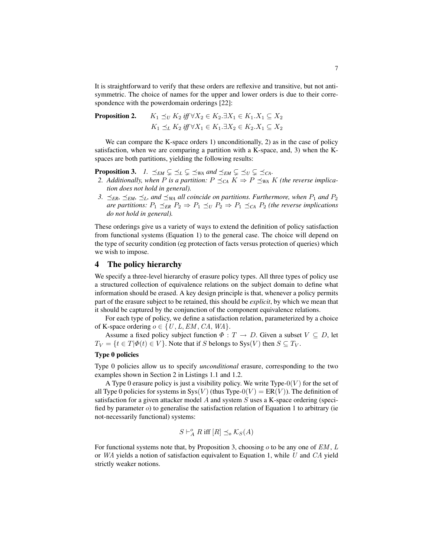It is straightforward to verify that these orders are reflexive and transitive, but not antisymmetric. The choice of names for the upper and lower orders is due to their correspondence with the powerdomain orderings [22]:

**Proposition 2.** 
$$
K_1 \preceq_U K_2 \text{ iff } \forall X_2 \in K_2. \exists X_1 \in K_1. X_1 \subseteq X_2
$$

$$
K_1 \preceq_L K_2 \text{ iff } \forall X_1 \in K_1. \exists X_2 \in K_2. X_1 \subseteq X_2
$$

We can compare the K-space orders 1) unconditionally, 2) as in the case of policy satisfaction, when we are comparing a partition with a K-space, and, 3) when the Kspaces are both partitions, yielding the following results:

**Proposition 3.** *1.*  $\preceq_{EM} \subsetneq \preceq_L \subsetneq \preceq_{WA} and \preceq_{EM} \subsetneq \preceq_U \subsetneq \preceq_{CA}$ .

- 2. Additionally, when P is a partition:  $P \preceq_{CA} K \Rightarrow P \preceq_{WA} K$  (the reverse implica*tion does not hold in general).*
- *3.*  $\leq_{ER}$ ,  $\leq_{EM}$ ,  $\leq_L$ , and  $\leq_{WA}$  all coincide on partitions. Furthermore, when  $P_1$  and  $P_2$ *are partitions:*  $P_1 \preceq_{ER} P_2 \Rightarrow P_1 \preceq_{U} P_2 \Rightarrow P_1 \preceq_{CA} P_2$  *(the reverse implications do not hold in general).*

These orderings give us a variety of ways to extend the definition of policy satisfaction from functional systems (Equation 1) to the general case. The choice will depend on the type of security condition (eg protection of facts versus protection of queries) which we wish to impose.

## 4 The policy hierarchy

We specify a three-level hierarchy of erasure policy types. All three types of policy use a structured collection of equivalence relations on the subject domain to define what information should be erased. A key design principle is that, whenever a policy permits part of the erasure subject to be retained, this should be *explicit*, by which we mean that it should be captured by the conjunction of the component equivalence relations.

For each type of policy, we define a satisfaction relation, parameterized by a choice of K-space ordering  $o \in \{U, L, EM, CA, WA\}.$ 

Assume a fixed policy subject function  $\Phi: T \to D$ . Given a subset  $V \subseteq D$ , let  $T_V = \{t \in T | \Phi(t) \in V\}$ . Note that if S belongs to Sys(V) then  $S \subseteq T_V$ .

## Type 0 policies

Type 0 policies allow us to specify *unconditional* erasure, corresponding to the two examples shown in Section 2 in Listings 1.1 and 1.2.

A Type 0 erasure policy is just a visibility policy. We write Type- $0(V)$  for the set of all Type 0 policies for systems in Sys(V) (thus Type- $0(V) = ER(V)$ ). The definition of satisfaction for a given attacker model  $A$  and system  $S$  uses a K-space ordering (specified by parameter o) to generalise the satisfaction relation of Equation 1 to arbitrary (ie not-necessarily functional) systems:

$$
S\vdash_A^o R \text{ iff } [R]\preceq_\mathrm{o} \mathcal{K}_S(A)
$$

For functional systems note that, by Proposition 3, choosing  $o$  to be any one of  $EM$ ,  $L$ or  $WA$  yields a notion of satisfaction equivalent to Equation 1, while  $U$  and  $CA$  yield strictly weaker notions.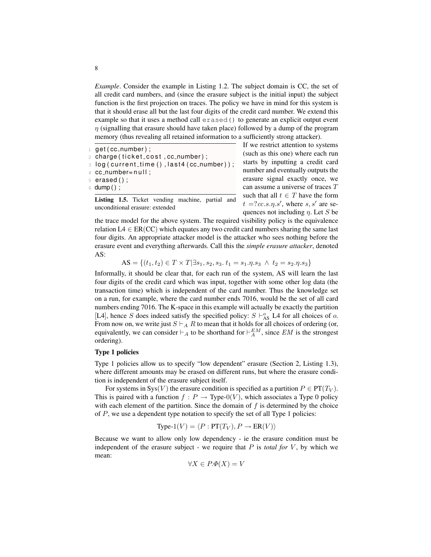*Example*. Consider the example in Listing 1.2. The subject domain is CC, the set of all credit card numbers, and (since the erasure subject is the initial input) the subject function is the first projection on traces. The policy we have in mind for this system is that it should erase all but the last four digits of the credit card number. We extend this example so that it uses a method call erased() to generate an explicit output event  $\eta$  (signalling that erasure should have taken place) followed by a dump of the program memory (thus revealing all retained information to a sufficiently strong attacker).

```
1 get ( cc_number ) :
```

```
2 charge (ticket_cost, cc_number);
```

```
3 log ( current_time ( ), last4 (cc_number ) );
```

```
4 cc_number=null;
```

```
5 erased ();
```

```
6 dump();
```
Listing 1.5. Ticket vending machine, partial and unconditional erasure: extended

If we restrict attention to systems (such as this one) where each run starts by inputting a credit card number and eventually outputs the erasure signal exactly once, we can assume a universe of traces T such that all  $t \in T$  have the form  $t = ?cc.s.\eta.s'$ , where s, s' are sequences not including  $\eta$ . Let S be

the trace model for the above system. The required visibility policy is the equivalence relation  $LA \in ER(CC)$  which equates any two credit card numbers sharing the same last four digits. An appropriate attacker model is the attacker who sees nothing before the erasure event and everything afterwards. Call this the *simple erasure attacker*, denoted AS:

$$
AS = \{(t_1, t_2) \in T \times T | \exists s_1, s_2, s_3, t_1 = s_1.\eta.s_3 \land t_2 = s_2.\eta.s_3\}
$$

Informally, it should be clear that, for each run of the system, AS will learn the last four digits of the credit card which was input, together with some other log data (the transaction time) which is independent of the card number. Thus the knowledge set on a run, for example, where the card number ends 7016, would be the set of all card numbers ending 7016. The K-space in this example will actually be exactly the partition [L4], hence S does indeed satisfy the specified policy:  $S \vdash_{AS}^{\circ} L4$  for all choices of o. From now on, we write just  $S \vdash_A R$  to mean that it holds for all choices of ordering (or, equivalently, we can consider  $\vdash_A$  to be shorthand for  $\vdash_A^{EM}$ , since EM is the strongest ordering).

### Type 1 policies

Type 1 policies allow us to specify "low dependent" erasure (Section 2, Listing 1.3), where different amounts may be erased on different runs, but where the erasure condition is independent of the erasure subject itself.

For systems in Sys(V) the erasure condition is specified as a partition  $P \in PT(T_V)$ . This is paired with a function  $f : P \to Type-0(V)$ , which associates a Type 0 policy with each element of the partition. Since the domain of  $f$  is determined by the choice of  $P$ , we use a dependent type notation to specify the set of all Type 1 policies:

Type-1(V) = 
$$
\langle P : PT(T_V), P \rightarrow ER(V) \rangle
$$

Because we want to allow only low dependency - ie the erasure condition must be independent of the erasure subject - we require that  $P$  is *total for*  $V$ , by which we mean:

$$
\forall X \in P.\Phi(X) = V
$$

#### 8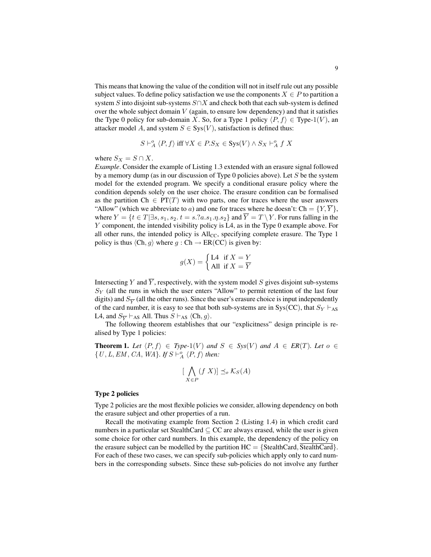This means that knowing the value of the condition will not in itself rule out any possible subject values. To define policy satisfaction we use the components  $X \in P$  to partition a system S into disjoint sub-systems  $S \cap X$  and check both that each sub-system is defined over the whole subject domain  $V$  (again, to ensure low dependency) and that it satisfies the Type 0 policy for sub-domain X. So, for a Type 1 policy  $\langle P, f \rangle \in \text{Type-1}(V)$ , an attacker model A, and system  $S \in Sys(V)$ , satisfaction is defined thus:

$$
S\vdash_A^o \langle P,f\rangle \text{ iff } \forall X\in P.S_X\in \text{Sys}(V)\wedge S_X\vdash_A^o f X
$$

where  $S_X = S \cap X$ .

*Example*. Consider the example of Listing 1.3 extended with an erasure signal followed by a memory dump (as in our discussion of Type 0 policies above). Let  $S$  be the system model for the extended program. We specify a conditional erasure policy where the condition depends solely on the user choice. The erasure condition can be formalised as the partition Ch  $\in PT(T)$  with two parts, one for traces where the user answers "Allow" (which we abbreviate to a) and one for traces where he doesn't:  $Ch = \{Y, \overline{Y}\}\,$ where  $Y = \{t \in T | \exists s, s_1, s_2, t = s \cdot a \cdot s_1 \cdot n \cdot s_2\}$  and  $\overline{Y} = T \setminus Y$ . For runs falling in the Y component, the intended visibility policy is L4, as in the Type 0 example above. For all other runs, the intended policy is  $\text{All}_{CC}$ , specifying complete erasure. The Type 1 policy is thus  $\langle Ch, g \rangle$  where  $g : Ch \to ER(CC)$  is given by:

$$
g(X) = \begin{cases} \text{L4 if } X = Y \\ \text{All if } X = \overline{Y} \end{cases}
$$

Intersecting Y and  $\overline{Y}$ , respectively, with the system model S gives disjoint sub-systems  $S_Y$  (all the runs in which the user enters "Allow" to permit retention of the last four digits) and  $S_{\overline{Y}}$  (all the other runs). Since the user's erasure choice is input independently of the card number, it is easy to see that both sub-systems are in Sys(CC), that  $S_Y \vdash_{AS}$ L4, and  $S_{\overline{Y}} \vdash_{AS}$  All. Thus  $S \vdash_{AS} \langle Ch, g \rangle$ .

The following theorem establishes that our "explicitness" design principle is realised by Type 1 policies:

**Theorem 1.** Let  $\langle P, f \rangle \in Type-1(V)$  and  $S \in Sys(V)$  and  $A \in ER(T)$ . Let  $o \in$  $\{U, L, EM, CA, WA\}$ . If  $S \vdash_A^o \langle P, f \rangle$  then:

$$
[\bigwedge_{X\in P} (f\ X)] \preceq_o \mathcal{K}_S(A)
$$

#### Type 2 policies

Type 2 policies are the most flexible policies we consider, allowing dependency on both the erasure subject and other properties of a run.

Recall the motivating example from Section 2 (Listing 1.4) in which credit card numbers in a particular set StealthCard  $\subseteq$  CC are always erased, while the user is given some choice for other card numbers. In this example, the dependency of the policy on the erasure subject can be modelled by the partition  $HC = \{StealthCard\}$ . For each of these two cases, we can specify sub-policies which apply only to card numbers in the corresponding subsets. Since these sub-policies do not involve any further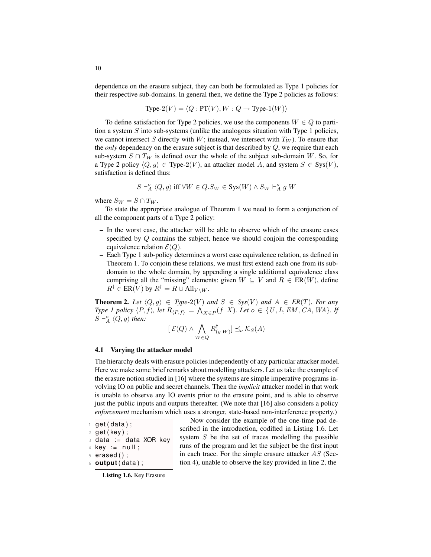dependence on the erasure subject, they can both be formulated as Type 1 policies for their respective sub-domains. In general then, we define the Type 2 policies as follows:

Type-2(V) = 
$$
\langle Q : PT(V), W : Q \rightarrow Type-1(W) \rangle
$$

To define satisfaction for Type 2 policies, we use the components  $W \in Q$  to partition a system  $S$  into sub-systems (unlike the analogous situation with Type 1 policies, we cannot intersect S directly with  $W$ ; instead, we intersect with  $T_W$ ). To ensure that the *only* dependency on the erasure subject is that described by Q, we require that each sub-system  $S \cap T_W$  is defined over the whole of the subject sub-domain W. So, for a Type 2 policy  $\langle Q, g \rangle \in \text{Type-2}(V)$ , an attacker model A, and system  $S \in \text{Sys}(V)$ , satisfaction is defined thus:

$$
S\vdash_A^o \langle Q, g\rangle \text{ iff } \forall W \in Q.S_W \in \text{Sys}(W) \land S_W \vdash_A^o g W
$$

where  $S_W = S \cap T_W$ .

To state the appropriate analogue of Theorem 1 we need to form a conjunction of all the component parts of a Type 2 policy:

- In the worst case, the attacker will be able to observe which of the erasure cases specified by Q contains the subject, hence we should conjoin the corresponding equivalence relation  $\mathcal{E}(Q)$ .
- Each Type 1 sub-policy determines a worst case equivalence relation, as defined in Theorem 1. To conjoin these relations, we must first extend each one from its subdomain to the whole domain, by appending a single additional equivalence class comprising all the "missing" elements: given  $W \subseteq V$  and  $R \in ER(W)$ , define  $R^{\dagger} \in ER(V)$  by  $R^{\dagger} = R \cup All_{V \setminus W}$ .

**Theorem 2.** Let  $\langle Q, g \rangle \in Type-2(V)$  and  $S \in Sys(V)$  and  $A \in ER(T)$ *. For any Type 1 policy*  $\langle P, f \rangle$ , let  $R_{\langle P, f \rangle} = \bigwedge_{X \in P} (f \ X)$ . Let  $o \in \{U, L, EM, CA, WA\}$ . If  $S\vdash_A^o \langle Q,g\rangle$  *then:* 

$$
[\mathcal{E}(Q) \wedge \bigwedge_{W \in Q} R^{\dagger}_{(g\ W)}] \preceq_o \mathcal{K}_S(A)
$$

#### 4.1 Varying the attacker model

The hierarchy deals with erasure policies independently of any particular attacker model. Here we make some brief remarks about modelling attackers. Let us take the example of the erasure notion studied in [16] where the systems are simple imperative programs involving IO on public and secret channels. Then the *implicit* attacker model in that work is unable to observe any IO events prior to the erasure point, and is able to observe just the public inputs and outputs thereafter. (We note that [16] also considers a policy *enforcement* mechanism which uses a stronger, state-based non-interference property.)

```
1 get (data);
```

```
2 get ( key ) ;
3 data := data XOR key
```

```
4 key := null;
```

```
5 erased ();
```

```
6 output ( data ) ;
```
Now consider the example of the one-time pad described in the introduction, codified in Listing 1.6. Let system  $S$  be the set of traces modelling the possible runs of the program and let the subject be the first input in each trace. For the simple erasure attacker  $AS$  (Section 4), unable to observe the key provided in line 2, the

10

Listing 1.6. Key Erasure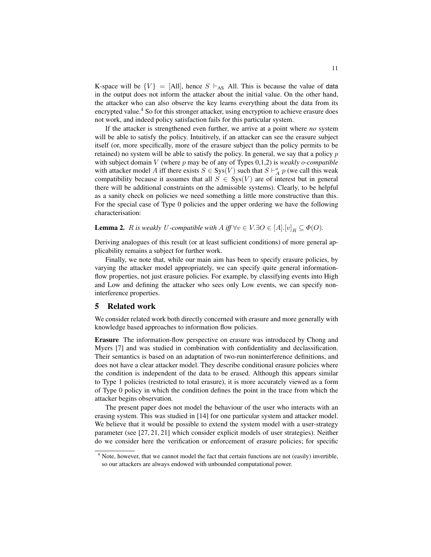K-space will be  $\{V\}$  = [All], hence  $S \vdash_{AS}$  All. This is because the value of data in the output does not inform the attacker about the initial value. On the other hand, the attacker who can also observe the key learns everything about the data from its encrypted value.<sup>4</sup> So for this stronger attacker, using encryption to achieve erasure does not work, and indeed policy satisfaction fails for this particular system.

If the attacker is strengthened even further, we arrive at a point where *no* system will be able to satisfy the policy. Intuitively, if an attacker can see the erasure subject itself (or, more specifically, more of the erasure subject than the policy permits to be retained) no system will be able to satisfy the policy. In general, we say that a policy  $p$ with subject domain V (where p may be of any of Types 0,1,2) is *weakly* o*-compatible* with attacker model A iff there exists  $S \in \text{Sys}(V)$  such that  $S \vdash_A^{\circ} p$  (we call this weak compatibility because it assumes that all  $S \in Sys(V)$  are of interest but in general there will be additional constraints on the admissible systems). Clearly, to be helpful as a sanity check on policies we need something a little more constructive than this. For the special case of Type 0 policies and the upper ordering we have the following characterisation:

**Lemma 2.** R is weakly U-compatible with A iff  $\forall v \in V \exists O \in [A]. [v]_B \subseteq \Phi(O)$ .

Deriving analogues of this result (or at least sufficient conditions) of more general applicability remains a subject for further work.

Finally, we note that, while our main aim has been to specify erasure policies, by varying the attacker model appropriately, we can specify quite general informationflow properties, not just erasure policies. For example, by classifying events into High and Low and defining the attacker who sees only Low events, we can specify noninterference properties.

## 5 Related work

We consider related work both directly concerned with erasure and more generally with knowledge based approaches to information flow policies.

Erasure The information-flow perspective on erasure was introduced by Chong and Myers [7] and was studied in combination with confidentiality and declassification. Their semantics is based on an adaptation of two-run noninterference definitions, and does not have a clear attacker model. They describe conditional erasure policies where the condition is independent of the data to be erased. Although this appears similar to Type 1 policies (restricted to total erasure), it is more accurately viewed as a form of Type 0 policy in which the condition defines the point in the trace from which the attacker begins observation.

The present paper does not model the behaviour of the user who interacts with an erasing system. This was studied in [14] for one particular system and attacker model. We believe that it would be possible to extend the system model with a user-strategy parameter (see [27, 21, 21] which consider explicit models of user strategies). Neither do we consider here the verification or enforcement of erasure policies; for specific

<sup>&</sup>lt;sup>4</sup> Note, however, that we cannot model the fact that certain functions are not (easily) invertible, so our attackers are always endowed with unbounded computational power.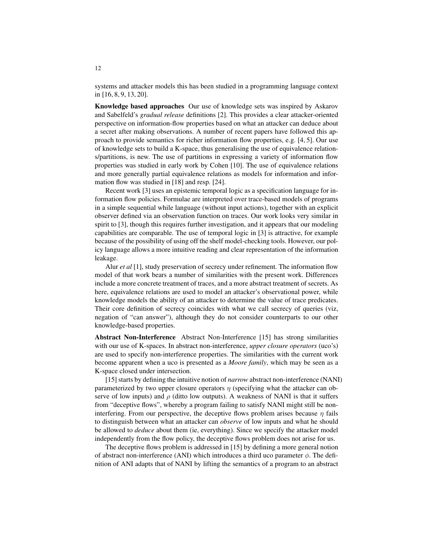systems and attacker models this has been studied in a programming language context in [16, 8, 9, 13, 20].

Knowledge based approaches Our use of knowledge sets was inspired by Askarov and Sabelfeld's *gradual release* definitions [2]. This provides a clear attacker-oriented perspective on information-flow properties based on what an attacker can deduce about a secret after making observations. A number of recent papers have followed this approach to provide semantics for richer information flow properties, e.g. [4, 5]. Our use of knowledge sets to build a K-space, thus generalising the use of equivalence relations/partitions, is new. The use of partitions in expressing a variety of information flow properties was studied in early work by Cohen [10]. The use of equivalence relations and more generally partial equivalence relations as models for information and information flow was studied in [18] and resp. [24].

Recent work [3] uses an epistemic temporal logic as a specification language for information flow policies. Formulae are interpreted over trace-based models of programs in a simple sequential while language (without input actions), together with an explicit observer defined via an observation function on traces. Our work looks very similar in spirit to [3], though this requires further investigation, and it appears that our modeling capabilities are comparable. The use of temporal logic in [3] is attractive, for example because of the possibility of using off the shelf model-checking tools. However, our policy language allows a more intuitive reading and clear representation of the information leakage.

Alur *et al* [1], study preservation of secrecy under refinement. The information flow model of that work bears a number of similarities with the present work. Differences include a more concrete treatment of traces, and a more abstract treatment of secrets. As here, equivalence relations are used to model an attacker's observational power, while knowledge models the ability of an attacker to determine the value of trace predicates. Their core definition of secrecy coincides with what we call secrecy of queries (viz, negation of "can answer"), although they do not consider counterparts to our other knowledge-based properties.

Abstract Non-Interference Abstract Non-Interference [15] has strong similarities with our use of K-spaces. In abstract non-interference, *upper closure operators* (uco's) are used to specify non-interference properties. The similarities with the current work become apparent when a uco is presented as a *Moore family*, which may be seen as a K-space closed under intersection.

[15] starts by defining the intuitive notion of *narrow* abstract non-interference (NANI) parameterized by two upper closure operators  $\eta$  (specifying what the attacker can observe of low inputs) and  $\rho$  (ditto low outputs). A weakness of NANI is that it suffers from "deceptive flows", whereby a program failing to satisfy NANI might still be noninterfering. From our perspective, the deceptive flows problem arises because  $\eta$  fails to distinguish between what an attacker can *observe* of low inputs and what he should be allowed to *deduce* about them (ie, everything). Since we specify the attacker model independently from the flow policy, the deceptive flows problem does not arise for us.

The deceptive flows problem is addressed in [15] by defining a more general notion of abstract non-interference (ANI) which introduces a third uco parameter  $\phi$ . The definition of ANI adapts that of NANI by lifting the semantics of a program to an abstract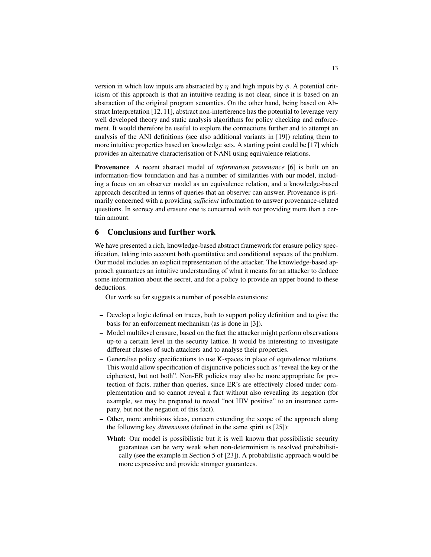version in which low inputs are abstracted by  $\eta$  and high inputs by  $\phi$ . A potential criticism of this approach is that an intuitive reading is not clear, since it is based on an abstraction of the original program semantics. On the other hand, being based on Abstract Interpretation [12, 11], abstract non-interference has the potential to leverage very well developed theory and static analysis algorithms for policy checking and enforcement. It would therefore be useful to explore the connections further and to attempt an analysis of the ANI definitions (see also additional variants in [19]) relating them to more intuitive properties based on knowledge sets. A starting point could be [17] which provides an alternative characterisation of NANI using equivalence relations.

Provenance A recent abstract model of *information provenance* [6] is built on an information-flow foundation and has a number of similarities with our model, including a focus on an observer model as an equivalence relation, and a knowledge-based approach described in terms of queries that an observer can answer. Provenance is primarily concerned with a providing *sufficient* information to answer provenance-related questions. In secrecy and erasure one is concerned with *not* providing more than a certain amount.

## 6 Conclusions and further work

We have presented a rich, knowledge-based abstract framework for erasure policy specification, taking into account both quantitative and conditional aspects of the problem. Our model includes an explicit representation of the attacker. The knowledge-based approach guarantees an intuitive understanding of what it means for an attacker to deduce some information about the secret, and for a policy to provide an upper bound to these deductions.

Our work so far suggests a number of possible extensions:

- Develop a logic defined on traces, both to support policy definition and to give the basis for an enforcement mechanism (as is done in [3]).
- Model multilevel erasure, based on the fact the attacker might perform observations up-to a certain level in the security lattice. It would be interesting to investigate different classes of such attackers and to analyse their properties.
- Generalise policy specifications to use K-spaces in place of equivalence relations. This would allow specification of disjunctive policies such as "reveal the key or the ciphertext, but not both". Non-ER policies may also be more appropriate for protection of facts, rather than queries, since ER's are effectively closed under complementation and so cannot reveal a fact without also revealing its negation (for example, we may be prepared to reveal "not HIV positive" to an insurance company, but not the negation of this fact).
- Other, more ambitious ideas, concern extending the scope of the approach along the following key *dimensions* (defined in the same spirit as [25]):
	- What: Our model is possibilistic but it is well known that possibilistic security guarantees can be very weak when non-determinism is resolved probabilistically (see the example in Section 5 of [23]). A probabilistic approach would be more expressive and provide stronger guarantees.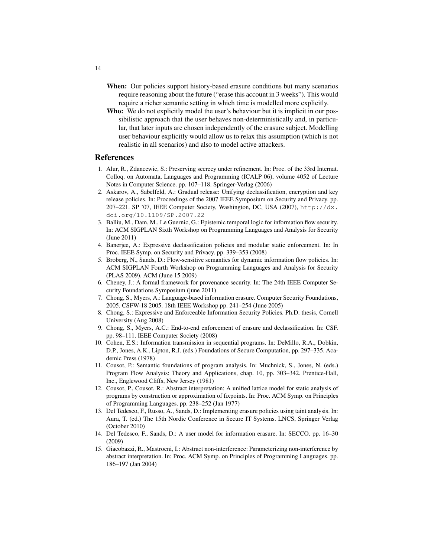- When: Our policies support history-based erasure conditions but many scenarios require reasoning about the future ("erase this account in 3 weeks"). This would require a richer semantic setting in which time is modelled more explicitly.
- Who: We do not explicitly model the user's behaviour but it is implicit in our possibilistic approach that the user behaves non-deterministically and, in particular, that later inputs are chosen independently of the erasure subject. Modelling user behaviour explicitly would allow us to relax this assumption (which is not realistic in all scenarios) and also to model active attackers.

### **References**

- 1. Alur, R., Zdancewic, S.: Preserving secrecy under refinement. In: Proc. of the 33rd Internat. Colloq. on Automata, Languages and Programming (ICALP 06), volume 4052 of Lecture Notes in Computer Science. pp. 107–118. Springer-Verlag (2006)
- 2. Askarov, A., Sabelfeld, A.: Gradual release: Unifying declassification, encryption and key release policies. In: Proceedings of the 2007 IEEE Symposium on Security and Privacy. pp. 207–221. SP '07, IEEE Computer Society, Washington, DC, USA (2007), http://dx. doi.org/10.1109/SP.2007.22
- 3. Balliu, M., Dam, M., Le Guernic, G.: Epistemic temporal logic for information flow security. In: ACM SIGPLAN Sixth Workshop on Programming Languages and Analysis for Security (June 2011)
- 4. Banerjee, A.: Expressive declassification policies and modular static enforcement. In: In Proc. IEEE Symp. on Security and Privacy. pp. 339–353 (2008)
- 5. Broberg, N., Sands, D.: Flow-sensitive semantics for dynamic information flow policies. In: ACM SIGPLAN Fourth Workshop on Programming Languages and Analysis for Security (PLAS 2009). ACM (June 15 2009)
- 6. Cheney, J.: A formal framework for provenance security. In: The 24th IEEE Computer Security Foundations Symposium (june 2011)
- 7. Chong, S., Myers, A.: Language-based information erasure. Computer Security Foundations, 2005. CSFW-18 2005. 18th IEEE Workshop pp. 241–254 (June 2005)
- 8. Chong, S.: Expressive and Enforceable Information Security Policies. Ph.D. thesis, Cornell University (Aug 2008)
- 9. Chong, S., Myers, A.C.: End-to-end enforcement of erasure and declassification. In: CSF. pp. 98–111. IEEE Computer Society (2008)
- 10. Cohen, E.S.: Information transmission in sequential programs. In: DeMillo, R.A., Dobkin, D.P., Jones, A.K., Lipton, R.J. (eds.) Foundations of Secure Computation, pp. 297–335. Academic Press (1978)
- 11. Cousot, P.: Semantic foundations of program analysis. In: Muchnick, S., Jones, N. (eds.) Program Flow Analysis: Theory and Applications, chap. 10, pp. 303–342. Prentice-Hall, Inc., Englewood Cliffs, New Jersey (1981)
- 12. Cousot, P., Cousot, R.: Abstract interpretation: A unified lattice model for static analysis of programs by construction or approximation of fixpoints. In: Proc. ACM Symp. on Principles of Programming Languages. pp. 238–252 (Jan 1977)
- 13. Del Tedesco, F., Russo, A., Sands, D.: Implementing erasure policies using taint analysis. In: Aura, T. (ed.) The 15th Nordic Conference in Secure IT Systems. LNCS, Springer Verlag (October 2010)
- 14. Del Tedesco, F., Sands, D.: A user model for information erasure. In: SECCO. pp. 16–30 (2009)
- 15. Giacobazzi, R., Mastroeni, I.: Abstract non-interference: Parameterizing non-interference by abstract interpretation. In: Proc. ACM Symp. on Principles of Programming Languages. pp. 186–197 (Jan 2004)

14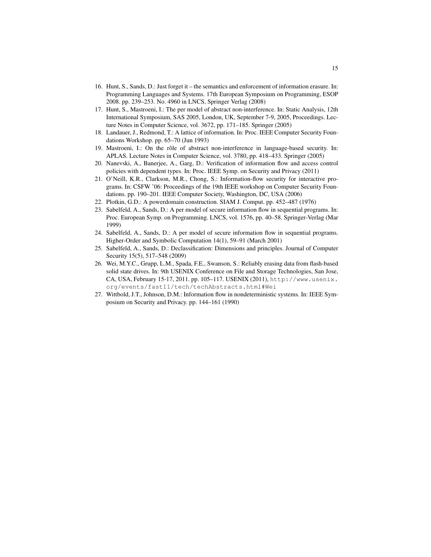- 16. Hunt, S., Sands, D.: Just forget it the semantics and enforcement of information erasure. In: Programming Languages and Systems. 17th European Symposium on Programming, ESOP 2008. pp. 239–253. No. 4960 in LNCS, Springer Verlag (2008)
- 17. Hunt, S., Mastroeni, I.: The per model of abstract non-interference. In: Static Analysis, 12th International Symposium, SAS 2005, London, UK, September 7-9, 2005, Proceedings. Lecture Notes in Computer Science, vol. 3672, pp. 171–185. Springer (2005)
- 18. Landauer, J., Redmond, T.: A lattice of information. In: Proc. IEEE Computer Security Foundations Workshop. pp. 65–70 (Jun 1993)
- 19. Mastroeni, I.: On the rôle of abstract non-interference in language-based security. In: APLAS. Lecture Notes in Computer Science, vol. 3780, pp. 418–433. Springer (2005)
- 20. Nanevski, A., Banerjee, A., Garg, D.: Verification of information flow and access control policies with dependent types. In: Proc. IEEE Symp. on Security and Privacy (2011)
- 21. O'Neill, K.R., Clarkson, M.R., Chong, S.: Information-flow security for interactive programs. In: CSFW '06: Proceedings of the 19th IEEE workshop on Computer Security Foundations. pp. 190–201. IEEE Computer Society, Washington, DC, USA (2006)
- 22. Plotkin, G.D.: A powerdomain construction. SIAM J. Comput. pp. 452–487 (1976)
- 23. Sabelfeld, A., Sands, D.: A per model of secure information flow in sequential programs. In: Proc. European Symp. on Programming. LNCS, vol. 1576, pp. 40–58. Springer-Verlag (Mar 1999)
- 24. Sabelfeld, A., Sands, D.: A per model of secure information flow in sequential programs. Higher-Order and Symbolic Computation 14(1), 59–91 (March 2001)
- 25. Sabelfeld, A., Sands, D.: Declassification: Dimensions and principles. Journal of Computer Security 15(5), 517–548 (2009)
- 26. Wei, M.Y.C., Grupp, L.M., Spada, F.E., Swanson, S.: Reliably erasing data from flash-based solid state drives. In: 9th USENIX Conference on File and Storage Technologies, San Jose, CA, USA, February 15-17, 2011. pp. 105–117. USENIX (2011), http://www.usenix. org/events/fast11/tech/techAbstracts.html#Wei
- 27. Wittbold, J.T., Johnson, D.M.: Information flow in nondeterministic systems. In: IEEE Symposium on Security and Privacy. pp. 144–161 (1990)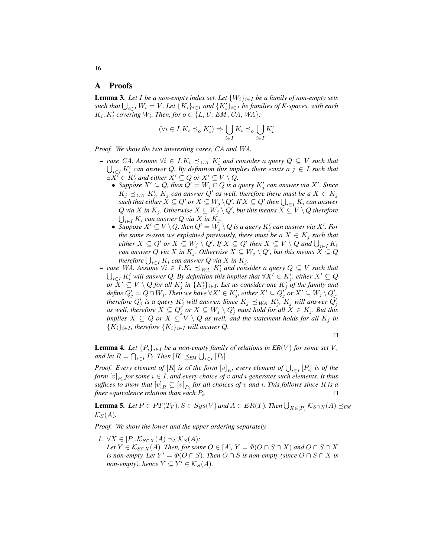## A Proofs

**Lemma 3.** Let I be a non-empty index set. Let  $\{W_i\}_{i\in I}$  be a family of non-empty sets such that  $\bigcup_{i\in I} W_i = V$ . Let  $\{K_i\}_{i\in I}$  and  $\{K'_i\}_{i\in I}$  be families of K-spaces, with each  $K_i, K'_i$  covering  $W_i$ . Then, for  $o \in \{L, U, EM, CA, WA\}$ :

$$
(\forall i \in I.K_i \leq_o K'_i) \Rightarrow \bigcup_{i \in I} K_i \preceq_o \bigcup_{i \in I} K'_i
$$

*Proof. We show the two interesting cases,* CA *and* WA*.*

- $$  $\bigcup_{i\in I} K_i'$  can answer Q. By definition this implies there exists a  $j \in I$  such that  $\exists X' \in K'_j$  and either  $X' \subseteq Q$  or  $X' \subseteq V \setminus Q$ .
	- *Suppose*  $X' \subseteq Q$ , then  $Q' = W_j \cap Q$  is a query  $K'_j$  can answer via  $X'$ . Since  $K_j \preceq_{CA} K'_j$ ,  $K_j$  can answer  $\hat{Q}'$  as well, therefore there must be a  $X \in K_j$  $\tilde{X}$  such that either  $\tilde{X} \subseteq Q'$  or  $X \subseteq W_j \backslash Q'.$  If  $X \subseteq Q'$  then  $\bigcup_{i \in I} K_i$  can answer  $Q$  via  $X$  in  $K_j$ *. Otherwise*  $X \subseteq W_j \setminus Q'$ , but this means  $X \subseteq V \setminus Q$  therefore  $\bigcup_{i\in I} K_i$  can answer  $Q$  via  $X$  in  $K_j$ .
	- Suppose  $X' \subseteq V \setminus Q$ , then  $Q' = W_j \setminus Q$  is a query  $K'_j$  can answer via  $X'$ . For *the same reason we explained previously, there must be a*  $X \in K_i$  *such that*  $\mathit{either}\; X\subseteq Q'\; or\; X\subseteq W_j\setminus Q'.$  If  $X\subseteq Q'$  then  $X\subseteq V\setminus Q$  and  $\bigcup_{i\in I}K_i$ *can answer*  $Q$  *via*  $X$  *in*  $K_j$ *. Otherwise*  $X \subseteq W_j \setminus Q'$ *, but this means*  $X \subseteq Q$ *therefore*  $\bigcup_{i \in I} K_i$  *can answer*  $Q$  *via*  $X$  *in*  $K_j$ *.*
- $\rightarrow$  *case WA. Assume*  $\forall i \in I.K_i$   $\preceq_{WA} K'_i$  and consider a query  $Q ⊆ V$  such that  $\bigcup_{i\in I} K_i'$  will answer Q. By definition this implies that  $\forall X'\in K_j'$ , either  $X'\subseteq Q$ *or*  $X' \subseteq V \setminus Q$  *for all*  $K'_j$  *in*  $\{K'_i\}_{i \in I}$ *. Let us consider one*  $K'_j$  *of the family and*  $d$ efine  $Q'_j = Q \cap W_j$ . Then we have  $\forall X' \in K'_j$ , either  $X' \subseteq Q_j^{j'}$  or  $X' \subseteq W_j \setminus Q'_j$ , therefore  $Q'_j$  is a query  $K'_j$  will answer. Since  $K_j \preceq_{WA} K'_j$ ,  $K_j$  will answer  $\dot{Q'_j}$ as well, therefore  $X\subseteq Q_j^{\prime}$  or  $X\subseteq W_j\setminus Q_j^{\prime}$  must hold for all  $X\in K_j.$  But this *implies*  $X \subseteq Q$  *or*  $X \subseteq V \setminus Q$  *as well, and the statement holds for all*  $K_j$  *in*  ${K_i}_{i \in I}$ *, therefore*  ${K_i}_{i \in I}$  *will answer* Q.

**Lemma 4.** Let  $\{P_i\}_{i\in I}$  be a non-empty family of relations in  $ER(V)$  for some set V, and let  $R = \bigcap_{i \in I} P_i$ . Then  $[R] \preceq_{EM} \bigcup_{i \in I} [P_i]$ .

 $\Box$ 

*Proof.* Every element of  $[R]$  is of the form  $[v]_R$ , every element of  $\bigcup_{i \in I} [P_i]$  is of the *form*  $[v]_{P_i}$  *for some*  $i \in I$ *, and every choice of*  $v$  *and*  $i$  *generates such elements. It thus*  $s$ uffices to show that  $[v]_R \subseteq [v]_{P_i}$  for all choices of  $v$  and  $i.$  This follows since  $R$  is a *finer equivalence relation than each*  $P_i$ . *.* ut

**Lemma 5.** Let  $P ∈ PT(T_V)$ ,  $S ∈ Sys(V)$  and  $A ∈ ER(T)$ . Then  $\bigcup_{X ∈ [P]} K_{S ∩ X}(A) \preceq_{EM}$  $\mathcal{K}_S(A)$ .

*Proof. We show the lower and the upper ordering separately.*

*I.* ∀*X* ∈ [*P*]. $\mathcal{K}_{S \cap X}(A) \preceq_L \mathcal{K}_S(A)$ :

*Let*  $Y \in \mathcal{K}_{S \cap X}(A)$ *. Then, for some*  $O \in [A]$ *,*  $Y = \Phi(O \cap S \cap X)$  *and*  $O \cap S \cap X$ *is non-empty. Let*  $Y' = \Phi(O \cap S)$ *. Then*  $O \cap S$  *is non-empty (since*  $O \cap S \cap X$  *is non-empty*), hence  $Y \subseteq Y' \in K_S(A)$ .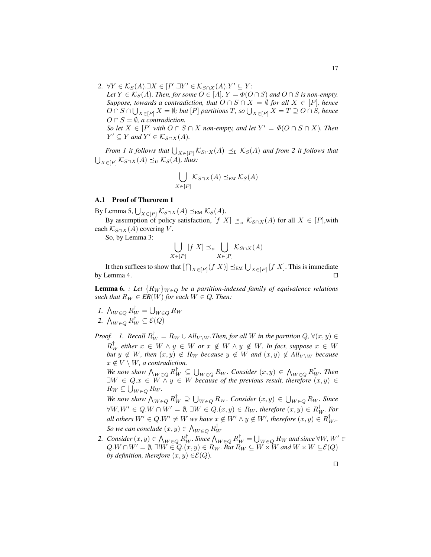2.  $\forall Y \in \mathcal{K}_S(A) . \exists X \in [P]. \exists Y' \in \mathcal{K}_{S \cap X}(A). Y' \subseteq Y$ *: Let*  $Y \in K_S(A)$ *. Then, for some*  $O \in [A]$ *,*  $Y = \Phi(O \cap S)$  *and*  $O \cap S$  *is non-empty. Suppose, towards a contradiction, that*  $O \cap S \cap X = \emptyset$  *for all*  $X \in [P]$ *, hence*  $O \cap S \cap \bigcup_{X \in [P]} X = \emptyset$ ; but  $[P]$  partitions  $T$ , so  $\bigcup_{X \in [P]} X = T \supseteq O \cap S$ , hence  $O \cap S = \emptyset$ , a contradiction. *So let*  $X \in [P]$  *with*  $O \cap S \cap X$  *non-empty, and let*  $Y' = \Phi(O \cap S \cap X)$ *. Then*  $Y' \subseteq Y$  and  $Y' \in \mathcal{K}_{S \cap X}(A)$ .

*From 1 it follows that*  $\bigcup_{X \in [P]} \mathcal{K}_{S \cap X}(A) \preceq_L \mathcal{K}_S(A)$  and from 2 it follows that  $\bigcup_{X \in [P]} \mathcal{K}_{S \cap X}(A) \preceq_{U} \mathcal{K}_{S}(A)$ *, thus:* 

$$
\bigcup_{X \in [P]} \mathcal{K}_{S \cap X}(A) \preceq_{\mathit{EM}} \mathcal{K}_S(A)
$$

### A.1 Proof of Therorem 1

By Lemma 5,  $\bigcup_{X \in [P]} \mathcal{K}_{S \cap X}(A) \preceq_{\text{EM}} \mathcal{K}_{S}(A)$ .

By assumption of policy satisfaction,  $[f X] \preceq_o \mathcal{K}_{S \cap X}(A)$  for all  $X \in [P]$ , with each  $\mathcal{K}_{S \cap X}(A)$  covering V.

So, by Lemma 3:

$$
\bigcup_{X \in [P]} [f \ X] \preceq_o \bigcup_{X \in [P]} \mathcal{K}_{S \cap X}(A)
$$

It then suffices to show that  $[\bigcap_{X\in[P]} (f\ X)] \preceq_{\text{EM}} \bigcup_{X\in[P]} [f\ X]$ . This is immediate by Lemma 4.

**Lemma 6.** *: Let*  ${R_W}_{W \in \Omega}$  *be a partition-indexed family of equivalence relations such that*  $R_W \in ER(W)$  *for each*  $W \in Q$ *. Then:* 

*1.*  $\bigwedge_{W \in Q} R_W^{\dagger} = \bigcup_{W \in Q} R_W$ 2.  $\bigwedge_{W \in Q} R_W^{\dagger} \subseteq \mathcal{E}(Q)$ 

*Proof. 1. Recall*  $R_W^{\dagger} = R_W \cup All_{V \setminus W}$ . *Then, for all* W *in the partition*  $Q$ ,  $\forall (x, y) \in$  $R_W^{\dagger}$  either  $x \in W \wedge y \in W$  or  $x \notin W \wedge y \notin W$ . In fact, suppose  $x \in W$ *but*  $y \notin W$ *, then*  $(x, y) \notin R_W$  *because*  $y \notin W$  *and*  $(x, y) \notin All_{V \setminus W}$  *because*  $x \notin V \setminus W$ , a contradiction.

We now show  $\bigwedge_{W\in Q}R^{\dagger}_W\,\subseteq\, \bigcup_{W\in Q}R_W.$  Consider  $(x,y)\,\in\, \bigwedge_{W\in Q}R^{\dagger}_W.$  Then  $\exists W \in Q \ x \in W \land y \in W$  *because of the previous result, therefore*  $(x, y) \in W$  $R_W \subseteq \bigcup_{W \in Q} R_W$ .

We now show  $\bigwedge_{W\in Q} R^{\dagger}_W\supseteq \bigcup_{W\in Q} R_W$ . Consider  $(x,y)\in \bigcup_{W\in Q} R_W$ . Since  $\forall W,W'\in Q.W\cap W'=\emptyset,$   $\exists W\in Q.(x,y)\in R_W$ , therefore  $(x,y)\in R_W^{\dagger}$ . For *all others*  $W' \in Q.W' \neq W$  we have  $x \notin W' \wedge y \notin W'$ , therefore  $(x, y) \in R^{\dagger}_{W'}$ . *So we can conclude*  $(x, y) \in \bigwedge_{W \in Q} R^{\dagger}_W$ 

2. Consider  $(x, y) \in \bigwedge_{W \in Q} R^{\dagger}_W$ . Since  $\bigwedge_{W \in Q} R^{\dagger}_W = \bigcup_{W \in Q} R_W$  and since  $\forall W, W' \in$  $Q.W \cap W' = \emptyset$ ,  $\exists! W \in Q.(x, y) \in R_W$ . But  $R_W \subseteq W \times W$  and  $W \times W \subseteq E(Q)$ *by definition, therefore*  $(x, y) \in \mathcal{E}(Q)$ .